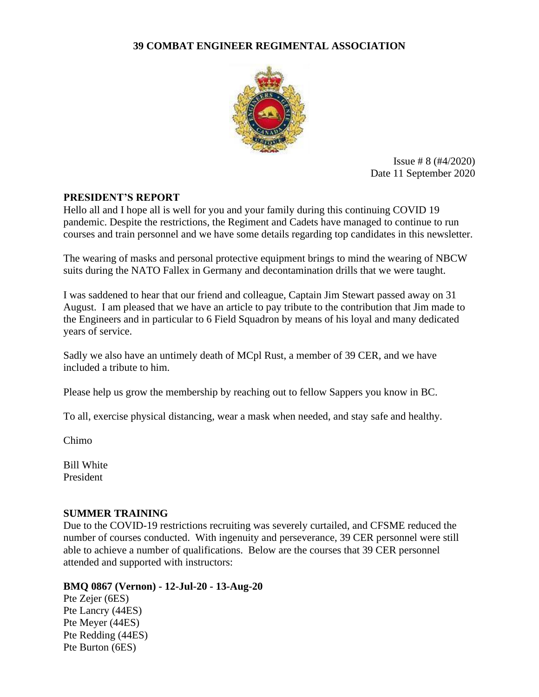### **39 COMBAT ENGINEER REGIMENTAL ASSOCIATION**



Issue # 8 (#4/2020) Date 11 September 2020

### **PRESIDENT'S REPORT**

Hello all and I hope all is well for you and your family during this continuing COVID 19 pandemic. Despite the restrictions, the Regiment and Cadets have managed to continue to run courses and train personnel and we have some details regarding top candidates in this newsletter.

The wearing of masks and personal protective equipment brings to mind the wearing of NBCW suits during the NATO Fallex in Germany and decontamination drills that we were taught.

I was saddened to hear that our friend and colleague, Captain Jim Stewart passed away on 31 August. I am pleased that we have an article to pay tribute to the contribution that Jim made to the Engineers and in particular to 6 Field Squadron by means of his loyal and many dedicated years of service.

Sadly we also have an untimely death of MCpl Rust, a member of 39 CER, and we have included a tribute to him.

Please help us grow the membership by reaching out to fellow Sappers you know in BC.

To all, exercise physical distancing, wear a mask when needed, and stay safe and healthy.

Chimo

Bill White President

### **SUMMER TRAINING**

Due to the COVID-19 restrictions recruiting was severely curtailed, and CFSME reduced the number of courses conducted. With ingenuity and perseverance, 39 CER personnel were still able to achieve a number of qualifications. Below are the courses that 39 CER personnel attended and supported with instructors:

### **BMQ 0867 (Vernon) - 12-Jul-20 - 13-Aug-20**

Pte Zejer (6ES) Pte Lancry (44ES) Pte Meyer (44ES) Pte Redding (44ES) Pte Burton (6ES)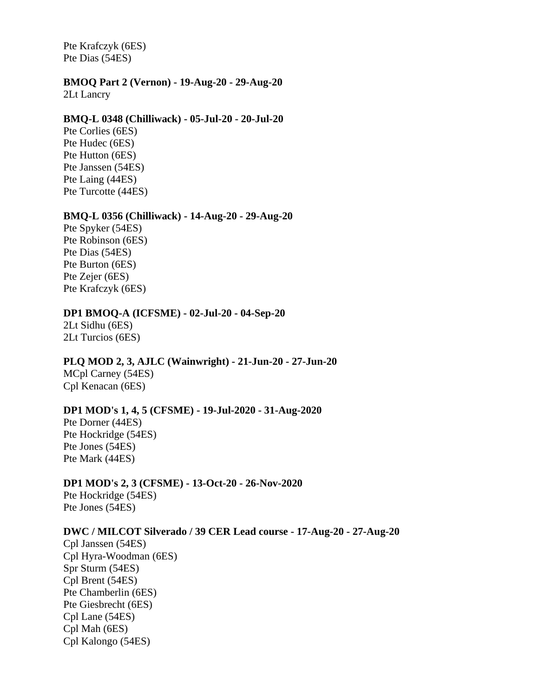Pte Krafczyk (6ES) Pte Dias (54ES)

#### **BMOQ Part 2 (Vernon) - 19-Aug-20 - 29-Aug-20**

2Lt Lancry

#### **BMQ-L 0348 (Chilliwack) - 05-Jul-20 - 20-Jul-20**

Pte Corlies (6ES) Pte Hudec (6ES) Pte Hutton (6ES) Pte Janssen (54ES) Pte Laing (44ES) Pte Turcotte (44ES)

#### **BMQ-L 0356 (Chilliwack) - 14-Aug-20 - 29-Aug-20**

Pte Spyker (54ES) Pte Robinson (6ES) Pte Dias (54ES) Pte Burton (6ES) Pte Zejer (6ES) Pte Krafczyk (6ES)

#### **DP1 BMOQ-A (ICFSME) - 02-Jul-20 - 04-Sep-20**

2Lt Sidhu (6ES) 2Lt Turcios (6ES)

#### **PLQ MOD 2, 3, AJLC (Wainwright) - 21-Jun-20 - 27-Jun-20**

MCpl Carney (54ES) Cpl Kenacan (6ES)

#### **DP1 MOD's 1, 4, 5 (CFSME) - 19-Jul-2020 - 31-Aug-2020**

Pte Dorner (44ES) Pte Hockridge (54ES) Pte Jones (54ES) Pte Mark (44ES)

#### **DP1 MOD's 2, 3 (CFSME) - 13-Oct-20 - 26-Nov-2020**

Pte Hockridge (54ES) Pte Jones (54ES)

#### **DWC / MILCOT Silverado / 39 CER Lead course - 17-Aug-20 - 27-Aug-20**

Cpl Janssen (54ES) Cpl Hyra-Woodman (6ES) Spr Sturm (54ES) Cpl Brent (54ES) Pte Chamberlin (6ES) Pte Giesbrecht (6ES) Cpl Lane (54ES) Cpl Mah (6ES) Cpl Kalongo (54ES)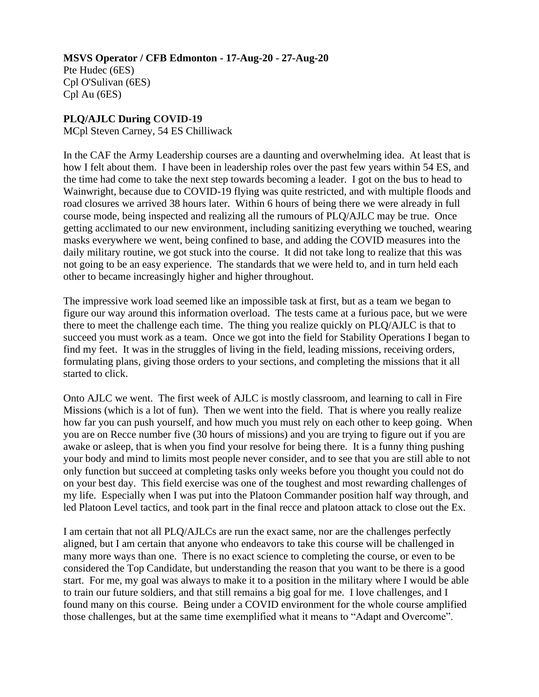# **MSVS Operator / CFB Edmonton - 17-Aug-20 - 27-Aug-20**

Pte Hudec (6ES) Cpl O'Sulivan (6ES) Cpl Au (6ES)

### **PLQ/AJLC During COVID-19**

MCpl Steven Carney, 54 ES Chilliwack

In the CAF the Army Leadership courses are a daunting and overwhelming idea. At least that is how I felt about them. I have been in leadership roles over the past few years within 54 ES, and the time had come to take the next step towards becoming a leader. I got on the bus to head to Wainwright, because due to COVID-19 flying was quite restricted, and with multiple floods and road closures we arrived 38 hours later. Within 6 hours of being there we were already in full course mode, being inspected and realizing all the rumours of PLQ/AJLC may be true. Once getting acclimated to our new environment, including sanitizing everything we touched, wearing masks everywhere we went, being confined to base, and adding the COVID measures into the daily military routine, we got stuck into the course. It did not take long to realize that this was not going to be an easy experience. The standards that we were held to, and in turn held each other to became increasingly higher and higher throughout.

The impressive work load seemed like an impossible task at first, but as a team we began to figure our way around this information overload. The tests came at a furious pace, but we were there to meet the challenge each time. The thing you realize quickly on PLQ/AJLC is that to succeed you must work as a team. Once we got into the field for Stability Operations I began to find my feet. It was in the struggles of living in the field, leading missions, receiving orders, formulating plans, giving those orders to your sections, and completing the missions that it all started to click.

Onto AJLC we went. The first week of AJLC is mostly classroom, and learning to call in Fire Missions (which is a lot of fun). Then we went into the field. That is where you really realize how far you can push yourself, and how much you must rely on each other to keep going. When you are on Recce number five (30 hours of missions) and you are trying to figure out if you are awake or asleep, that is when you find your resolve for being there. It is a funny thing pushing your body and mind to limits most people never consider, and to see that you are still able to not only function but succeed at completing tasks only weeks before you thought you could not do on your best day. This field exercise was one of the toughest and most rewarding challenges of my life. Especially when I was put into the Platoon Commander position half way through, and led Platoon Level tactics, and took part in the final recce and platoon attack to close out the Ex.

I am certain that not all PLQ/AJLCs are run the exact same, nor are the challenges perfectly aligned, but I am certain that anyone who endeavors to take this course will be challenged in many more ways than one. There is no exact science to completing the course, or even to be considered the Top Candidate, but understanding the reason that you want to be there is a good start. For me, my goal was always to make it to a position in the military where I would be able to train our future soldiers, and that still remains a big goal for me. I love challenges, and I found many on this course. Being under a COVID environment for the whole course amplified those challenges, but at the same time exemplified what it means to "Adapt and Overcome".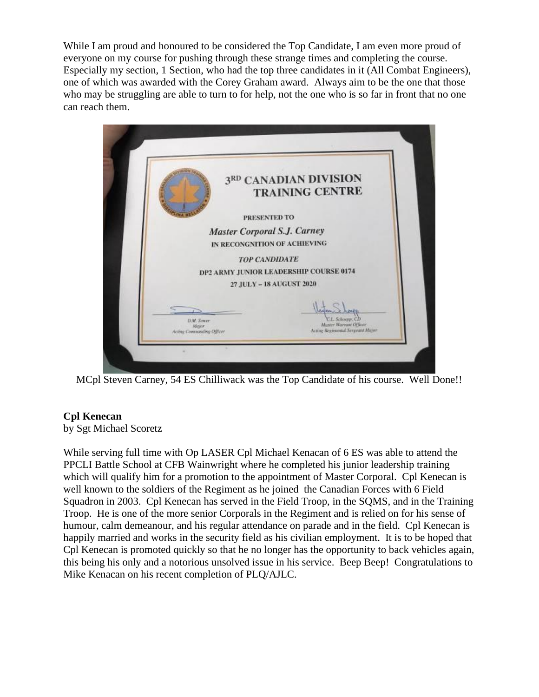While I am proud and honoured to be considered the Top Candidate, I am even more proud of everyone on my course for pushing through these strange times and completing the course. Especially my section, 1 Section, who had the top three candidates in it (All Combat Engineers), one of which was awarded with the Corey Graham award. Always aim to be the one that those who may be struggling are able to turn to for help, not the one who is so far in front that no one can reach them.



MCpl Steven Carney, 54 ES Chilliwack was the Top Candidate of his course. Well Done!!

# **Cpl Kenecan**

by Sgt Michael Scoretz

While serving full time with Op LASER Cpl Michael Kenacan of 6 ES was able to attend the PPCLI Battle School at CFB Wainwright where he completed his junior leadership training which will qualify him for a promotion to the appointment of Master Corporal. Cpl Kenecan is well known to the soldiers of the Regiment as he joined the Canadian Forces with 6 Field Squadron in 2003. Cpl Kenecan has served in the Field Troop, in the SQMS, and in the Training Troop. He is one of the more senior Corporals in the Regiment and is relied on for his sense of humour, calm demeanour, and his regular attendance on parade and in the field. Cpl Kenecan is happily married and works in the security field as his civilian employment. It is to be hoped that Cpl Kenecan is promoted quickly so that he no longer has the opportunity to back vehicles again, this being his only and a notorious unsolved issue in his service. Beep Beep! Congratulations to Mike Kenacan on his recent completion of PLQ/AJLC.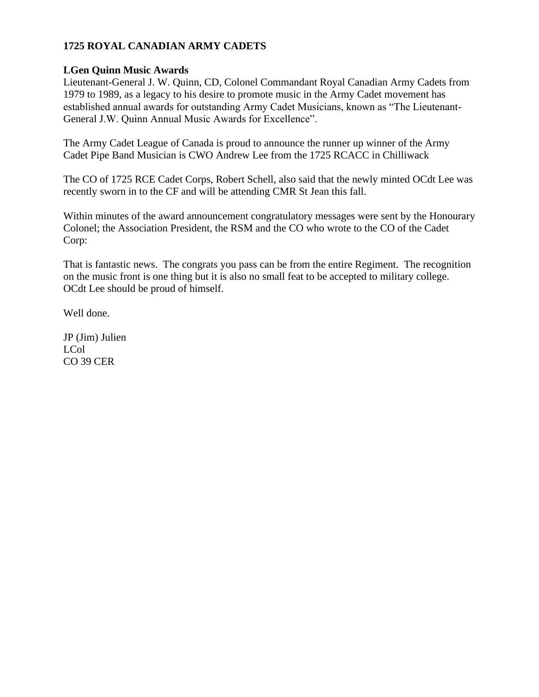# **1725 ROYAL CANADIAN ARMY CADETS**

### **LGen Quinn Music Awards**

Lieutenant-General J. W. Quinn, CD, Colonel Commandant Royal Canadian Army Cadets from 1979 to 1989, as a legacy to his desire to promote music in the Army Cadet movement has established annual awards for outstanding Army Cadet Musicians, known as "The Lieutenant-General J.W. Quinn Annual Music Awards for Excellence".

The Army Cadet League of Canada is proud to announce the runner up winner of the Army Cadet Pipe Band Musician is CWO Andrew Lee from the 1725 RCACC in Chilliwack

The CO of 1725 RCE Cadet Corps, Robert Schell, also said that the newly minted OCdt Lee was recently sworn in to the CF and will be attending CMR St Jean this fall.

Within minutes of the award announcement congratulatory messages were sent by the Honourary Colonel; the Association President, the RSM and the CO who wrote to the CO of the Cadet Corp:

That is fantastic news. The congrats you pass can be from the entire Regiment. The recognition on the music front is one thing but it is also no small feat to be accepted to military college. OCdt Lee should be proud of himself.

Well done.

JP (Jim) Julien LCol CO 39 CER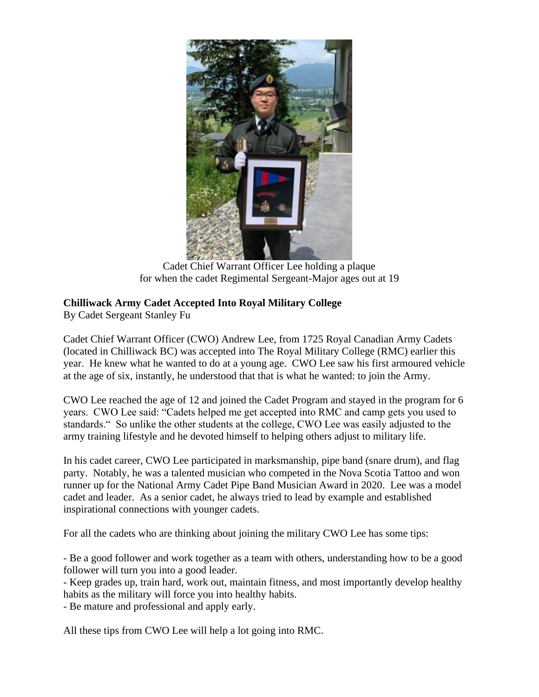

Cadet Chief Warrant Officer Lee holding a plaque for when the cadet Regimental Sergeant-Major ages out at 19

# **Chilliwack Army Cadet Accepted Into Royal Military College**

By Cadet Sergeant Stanley Fu

Cadet Chief Warrant Officer (CWO) Andrew Lee, from 1725 Royal Canadian Army Cadets (located in Chilliwack BC) was accepted into The Royal Military College (RMC) earlier this year. He knew what he wanted to do at a young age. CWO Lee saw his first armoured vehicle at the age of six, instantly, he understood that that is what he wanted: to join the Army.

CWO Lee reached the age of 12 and joined the Cadet Program and stayed in the program for 6 years. CWO Lee said: "Cadets helped me get accepted into RMC and camp gets you used to standards." So unlike the other students at the college, CWO Lee was easily adjusted to the army training lifestyle and he devoted himself to helping others adjust to military life.

In his cadet career, CWO Lee participated in marksmanship, pipe band (snare drum), and flag party. Notably, he was a talented musician who competed in the Nova Scotia Tattoo and won runner up for the National Army Cadet Pipe Band Musician Award in 2020. Lee was a model cadet and leader. As a senior cadet, he always tried to lead by example and established inspirational connections with younger cadets.

For all the cadets who are thinking about joining the military CWO Lee has some tips:

- Be a good follower and work together as a team with others, understanding how to be a good follower will turn you into a good leader.

- Keep grades up, train hard, work out, maintain fitness, and most importantly develop healthy habits as the military will force you into healthy habits.

- Be mature and professional and apply early.

All these tips from CWO Lee will help a lot going into RMC.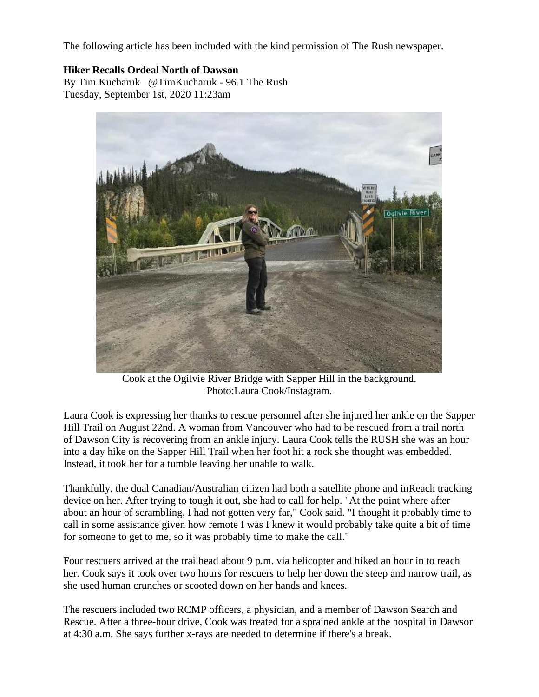The following article has been included with the kind permission of The Rush newspaper.

### **Hiker Recalls Ordeal North of Dawson**

By Tim Kucharuk @TimKucharuk - 96.1 The Rush Tuesday, September 1st, 2020 11:23am



Cook at the Ogilvie River Bridge with Sapper Hill in the background. Photo:Laura Cook/Instagram.

Laura Cook is expressing her thanks to rescue personnel after she injured her ankle on the Sapper Hill Trail on August 22nd. A woman from Vancouver who had to be rescued from a trail north of Dawson City is recovering from an ankle injury. Laura Cook tells the RUSH she was an hour into a day hike on the Sapper Hill Trail when her foot hit a rock she thought was embedded. Instead, it took her for a tumble leaving her unable to walk.

Thankfully, the dual Canadian/Australian citizen had both a satellite phone and inReach tracking device on her. After trying to tough it out, she had to call for help. "At the point where after about an hour of scrambling, I had not gotten very far," Cook said. "I thought it probably time to call in some assistance given how remote I was I knew it would probably take quite a bit of time for someone to get to me, so it was probably time to make the call."

Four rescuers arrived at the trailhead about 9 p.m. via helicopter and hiked an hour in to reach her. Cook says it took over two hours for rescuers to help her down the steep and narrow trail, as she used human crunches or scooted down on her hands and knees.

The rescuers included two RCMP officers, a physician, and a member of Dawson Search and Rescue. After a three-hour drive, Cook was treated for a sprained ankle at the hospital in Dawson at 4:30 a.m. She says further x-rays are needed to determine if there's a break.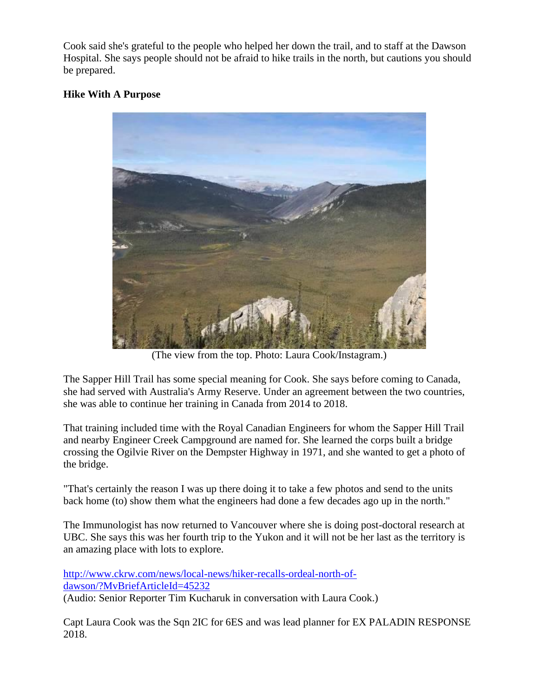Cook said she's grateful to the people who helped her down the trail, and to staff at the Dawson Hospital. She says people should not be afraid to hike trails in the north, but cautions you should be prepared.

### **Hike With A Purpose**



(The view from the top. Photo: Laura Cook/Instagram.)

The Sapper Hill Trail has some special meaning for Cook. She says before coming to Canada, she had served with Australia's Army Reserve. Under an agreement between the two countries, she was able to continue her training in Canada from 2014 to 2018.

That training included time with the Royal Canadian Engineers for whom the Sapper Hill Trail and nearby Engineer Creek Campground are named for. She learned the corps built a bridge crossing the Ogilvie River on the Dempster Highway in 1971, and she wanted to get a photo of the bridge.

"That's certainly the reason I was up there doing it to take a few photos and send to the units back home (to) show them what the engineers had done a few decades ago up in the north."

The Immunologist has now returned to Vancouver where she is doing post-doctoral research at UBC. She says this was her fourth trip to the Yukon and it will not be her last as the territory is an amazing place with lots to explore.

[http://www.ckrw.com/news/local-news/hiker-recalls-ordeal-north-of](http://www.ckrw.com/news/local-news/hiker-recalls-ordeal-north-of-dawson/?MvBriefArticleId=45232)[dawson/?MvBriefArticleId=45232](http://www.ckrw.com/news/local-news/hiker-recalls-ordeal-north-of-dawson/?MvBriefArticleId=45232)

(Audio: Senior Reporter Tim Kucharuk in conversation with Laura Cook.)

Capt Laura Cook was the Sqn 2IC for 6ES and was lead planner for EX PALADIN RESPONSE 2018.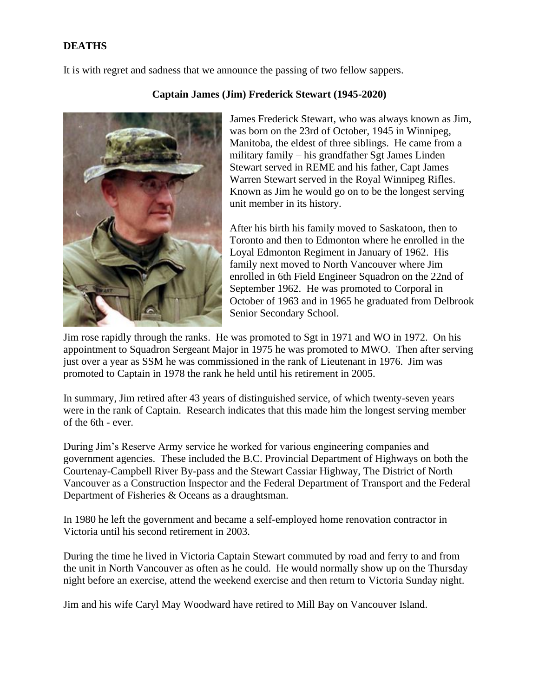### **DEATHS**

It is with regret and sadness that we announce the passing of two fellow sappers.



#### **Captain James (Jim) Frederick Stewart (1945-2020)**

James Frederick Stewart, who was always known as Jim, was born on the 23rd of October, 1945 in Winnipeg, Manitoba, the eldest of three siblings. He came from a military family – his grandfather Sgt James Linden Stewart served in REME and his father, Capt James Warren Stewart served in the Royal Winnipeg Rifles. Known as Jim he would go on to be the longest serving unit member in its history.

After his birth his family moved to Saskatoon, then to Toronto and then to Edmonton where he enrolled in the Loyal Edmonton Regiment in January of 1962. His family next moved to North Vancouver where Jim enrolled in 6th Field Engineer Squadron on the 22nd of September 1962. He was promoted to Corporal in October of 1963 and in 1965 he graduated from Delbrook Senior Secondary School.

Jim rose rapidly through the ranks. He was promoted to Sgt in 1971 and WO in 1972. On his appointment to Squadron Sergeant Major in 1975 he was promoted to MWO. Then after serving just over a year as SSM he was commissioned in the rank of Lieutenant in 1976. Jim was promoted to Captain in 1978 the rank he held until his retirement in 2005.

In summary, Jim retired after 43 years of distinguished service, of which twenty-seven years were in the rank of Captain. Research indicates that this made him the longest serving member of the 6th - ever.

During Jim's Reserve Army service he worked for various engineering companies and government agencies. These included the B.C. Provincial Department of Highways on both the Courtenay-Campbell River By-pass and the Stewart Cassiar Highway, The District of North Vancouver as a Construction Inspector and the Federal Department of Transport and the Federal Department of Fisheries & Oceans as a draughtsman.

In 1980 he left the government and became a self-employed home renovation contractor in Victoria until his second retirement in 2003.

During the time he lived in Victoria Captain Stewart commuted by road and ferry to and from the unit in North Vancouver as often as he could. He would normally show up on the Thursday night before an exercise, attend the weekend exercise and then return to Victoria Sunday night.

Jim and his wife Caryl May Woodward have retired to Mill Bay on Vancouver Island.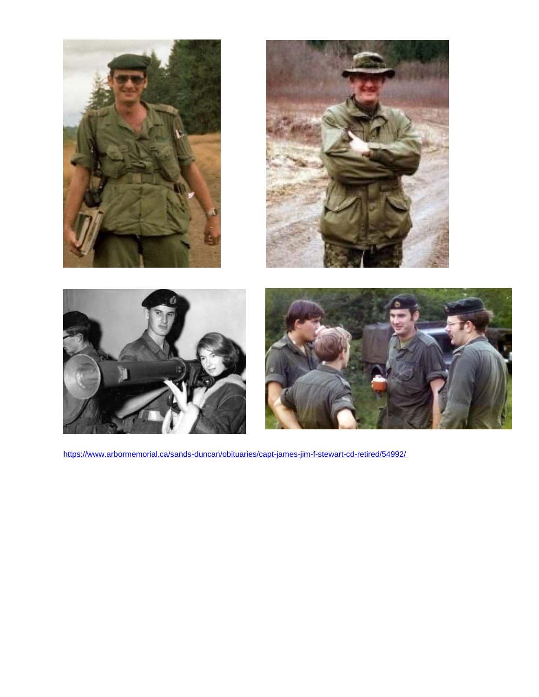







<https://www.arbormemorial.ca/sands-duncan/obituaries/capt-james-jim-f-stewart-cd-retired/54992/>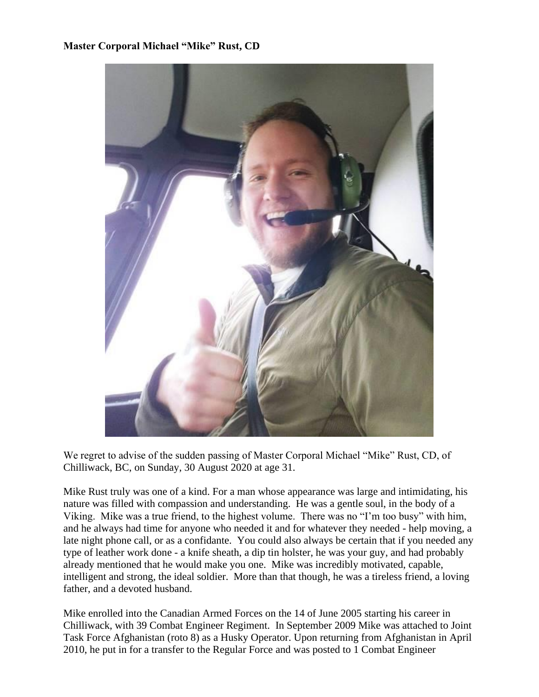### **Master Corporal Michael "Mike" Rust, CD**



We regret to advise of the sudden passing of Master Corporal Michael "Mike" Rust, CD, of Chilliwack, BC, on Sunday, 30 August 2020 at age 31.

Mike Rust truly was one of a kind. For a man whose appearance was large and intimidating, his nature was filled with compassion and understanding. He was a gentle soul, in the body of a Viking. Mike was a true friend, to the highest volume. There was no "I'm too busy" with him, and he always had time for anyone who needed it and for whatever they needed - help moving, a late night phone call, or as a confidante. You could also always be certain that if you needed any type of leather work done - a knife sheath, a dip tin holster, he was your guy, and had probably already mentioned that he would make you one. Mike was incredibly motivated, capable, intelligent and strong, the ideal soldier. More than that though, he was a tireless friend, a loving father, and a devoted husband.

Mike enrolled into the Canadian Armed Forces on the 14 of June 2005 starting his career in Chilliwack, with 39 Combat Engineer Regiment. In September 2009 Mike was attached to Joint Task Force Afghanistan (roto 8) as a Husky Operator. Upon returning from Afghanistan in April 2010, he put in for a transfer to the Regular Force and was posted to 1 Combat Engineer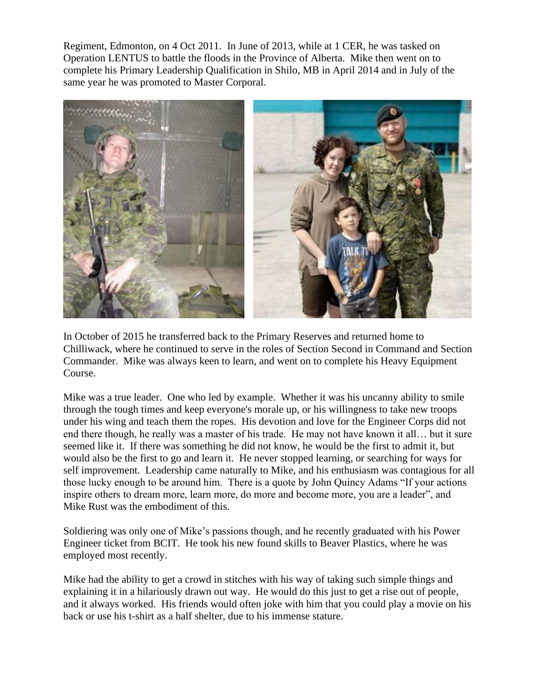Regiment, Edmonton, on 4 Oct 2011. In June of 2013, while at 1 CER, he was tasked on Operation LENTUS to battle the floods in the Province of Alberta. Mike then went on to complete his Primary Leadership Qualification in Shilo, MB in April 2014 and in July of the same year he was promoted to Master Corporal.



In October of 2015 he transferred back to the Primary Reserves and returned home to Chilliwack, where he continued to serve in the roles of Section Second in Command and Section Commander. Mike was always keen to learn, and went on to complete his Heavy Equipment Course.

Mike was a true leader. One who led by example. Whether it was his uncanny ability to smile through the tough times and keep everyone's morale up, or his willingness to take new troops under his wing and teach them the ropes. His devotion and love for the Engineer Corps did not end there though, he really was a master of his trade. He may not have known it all… but it sure seemed like it. If there was something he did not know, he would be the first to admit it, but would also be the first to go and learn it. He never stopped learning, or searching for ways for self improvement. Leadership came naturally to Mike, and his enthusiasm was contagious for all those lucky enough to be around him. There is a quote by John Quincy Adams "If your actions inspire others to dream more, learn more, do more and become more, you are a leader", and Mike Rust was the embodiment of this.

Soldiering was only one of Mike's passions though, and he recently graduated with his Power Engineer ticket from BCIT. He took his new found skills to Beaver Plastics, where he was employed most recently.

Mike had the ability to get a crowd in stitches with his way of taking such simple things and explaining it in a hilariously drawn out way. He would do this just to get a rise out of people, and it always worked. His friends would often joke with him that you could play a movie on his back or use his t-shirt as a half shelter, due to his immense stature.